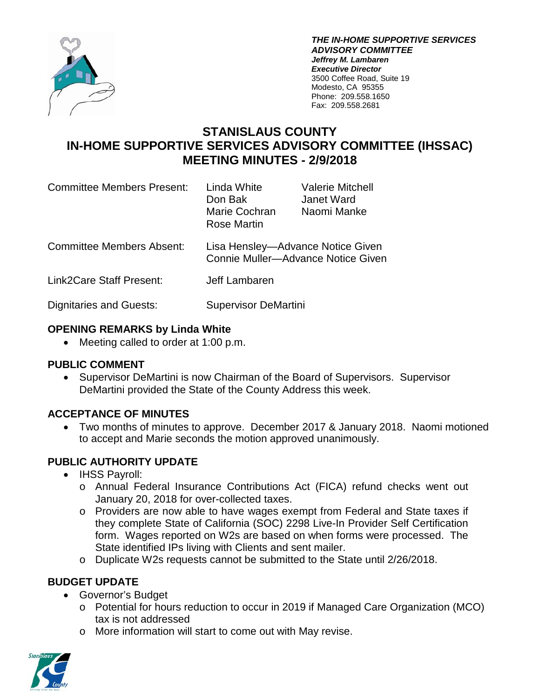

*THE IN-HOME SUPPORTIVE SERVICES ADVISORY COMMITTEE Jeffrey M. Lambaren Executive Director* 3500 Coffee Road, Suite 19 Modesto, CA 95355 Phone: 209.558.1650 Fax: 209.558.2681

# **STANISLAUS COUNTY IN-HOME SUPPORTIVE SERVICES ADVISORY COMMITTEE (IHSSAC) MEETING MINUTES - 2/9/2018**

| <b>Committee Members Present:</b> | Linda White<br>Don Bak<br>Marie Cochran<br>Rose Martin                  | <b>Valerie Mitchell</b><br>Janet Ward<br>Naomi Manke |
|-----------------------------------|-------------------------------------------------------------------------|------------------------------------------------------|
| <b>Committee Members Absent:</b>  | Lisa Hensley-Advance Notice Given<br>Connie Muller-Advance Notice Given |                                                      |
| Link2Care Staff Present:          | Jeff Lambaren                                                           |                                                      |
| <b>Dignitaries and Guests:</b>    | <b>Supervisor DeMartini</b>                                             |                                                      |

# **OPENING REMARKS by Linda White**

• Meeting called to order at 1:00 p.m.

#### **PUBLIC COMMENT**

• Supervisor DeMartini is now Chairman of the Board of Supervisors. Supervisor DeMartini provided the State of the County Address this week.

# **ACCEPTANCE OF MINUTES**

• Two months of minutes to approve. December 2017 & January 2018. Naomi motioned to accept and Marie seconds the motion approved unanimously.

# **PUBLIC AUTHORITY UPDATE**

- IHSS Payroll:
	- o Annual Federal Insurance Contributions Act (FICA) refund checks went out January 20, 2018 for over-collected taxes.
	- o Providers are now able to have wages exempt from Federal and State taxes if they complete State of California (SOC) 2298 Live-In Provider Self Certification form. Wages reported on W2s are based on when forms were processed. The State identified IPs living with Clients and sent mailer.
	- o Duplicate W2s requests cannot be submitted to the State until 2/26/2018.

# **BUDGET UPDATE**

- Governor's Budget
	- o Potential for hours reduction to occur in 2019 if Managed Care Organization (MCO) tax is not addressed
	- o More information will start to come out with May revise.